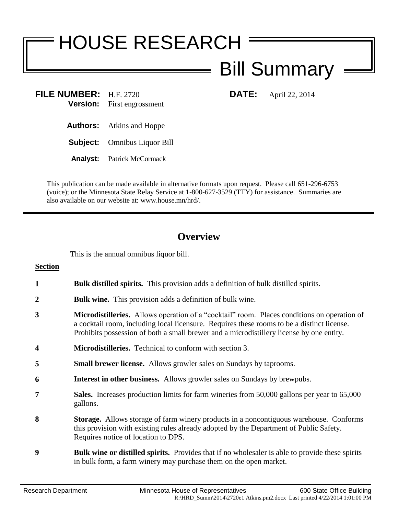## HOUSE RESEARCH

## Bill Summary

**FILE NUMBER:** H.F. 2720 **DATE:** April 22, 2014 **Version:** First engrossment

**Authors:** Atkins and Hoppe

**Subject:** Omnibus Liquor Bill

**Analyst:** Patrick McCormack

This publication can be made available in alternative formats upon request. Please call 651-296-6753 (voice); or the Minnesota State Relay Service at 1-800-627-3529 (TTY) for assistance. Summaries are also available on our website at: www.house.mn/hrd/.

## **Overview**

This is the annual omnibus liquor bill.

**Section 1 Bulk distilled spirits.** This provision adds a definition of bulk distilled spirits. **2 Bulk wine.** This provision adds a definition of bulk wine. **3 Microdistilleries.** Allows operation of a "cocktail" room. Places conditions on operation of a cocktail room, including local licensure. Requires these rooms to be a distinct license. Prohibits possession of both a small brewer and a microdistillery license by one entity. **4 Microdistilleries.** Technical to conform with section 3. **5 Small brewer license.** Allows growler sales on Sundays by taprooms. **6 Interest in other business.** Allows growler sales on Sundays by brewpubs. **7 Sales.** Increases production limits for farm wineries from 50,000 gallons per year to 65,000 gallons. **8 Storage.** Allows storage of farm winery products in a noncontiguous warehouse. Conforms this provision with existing rules already adopted by the Department of Public Safety. Requires notice of location to DPS. **9 Bulk wine or distilled spirits.** Provides that if no wholesaler is able to provide these spirits in bulk form, a farm winery may purchase them on the open market.